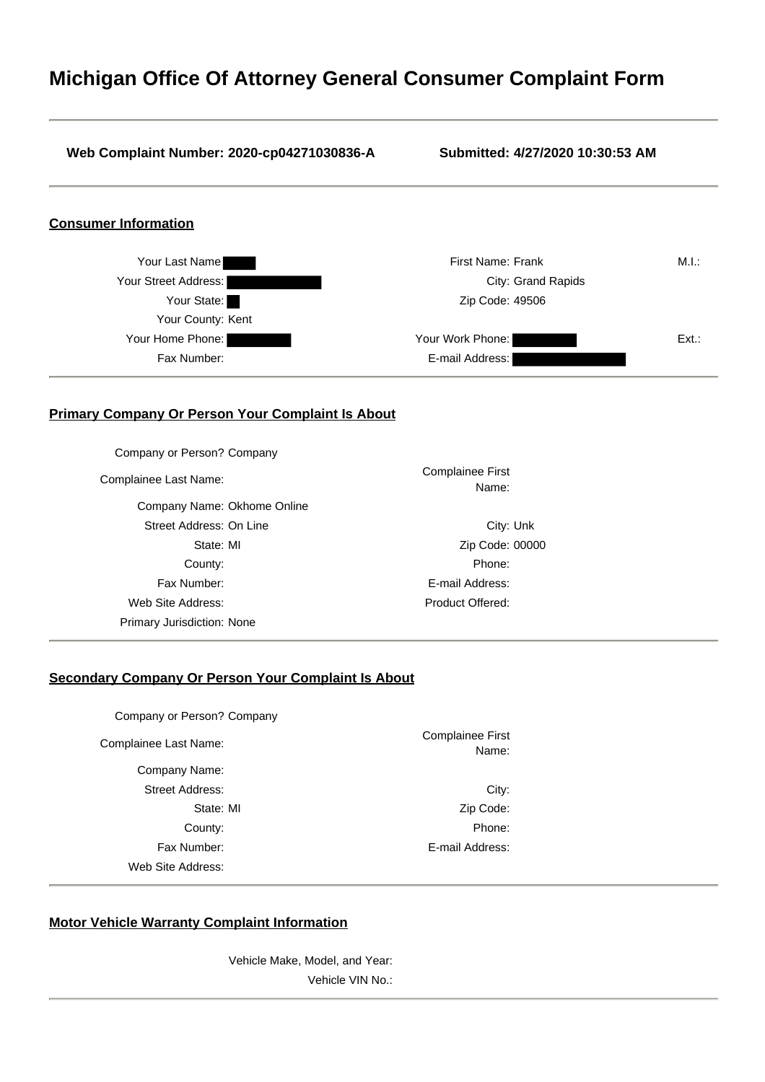# **Michigan Office Of Attorney General Consumer Complaint Form**

### **Web Complaint Number: 2020-cp04271030836-A Submitted: 4/27/2020 10:30:53 AM**

# **Consumer Information**



## **Primary Company Or Person Your Complaint Is About**

| Company or Person? Company  |                                  |  |
|-----------------------------|----------------------------------|--|
| Complainee Last Name:       | <b>Complainee First</b><br>Name: |  |
| Company Name: Okhome Online |                                  |  |
| Street Address: On Line     | City: Unk                        |  |
| State: MI                   | Zip Code: 00000                  |  |
| County:                     | Phone:                           |  |
| Fax Number:                 | E-mail Address:                  |  |
| Web Site Address:           | Product Offered:                 |  |
| Primary Jurisdiction: None  |                                  |  |
|                             |                                  |  |

# **Secondary Company Or Person Your Complaint Is About**

|                                  | Company or Person? Company |
|----------------------------------|----------------------------|
| <b>Complainee First</b><br>Name: | Complainee Last Name:      |
|                                  | Company Name:              |
| City:                            | Street Address:            |
| Zip Code:                        | State: MI                  |
| Phone:                           | County:                    |
| E-mail Address:                  | Fax Number:                |
|                                  | Web Site Address:          |

# **Motor Vehicle Warranty Complaint Information**

Vehicle Make, Model, and Year: Vehicle VIN No.: